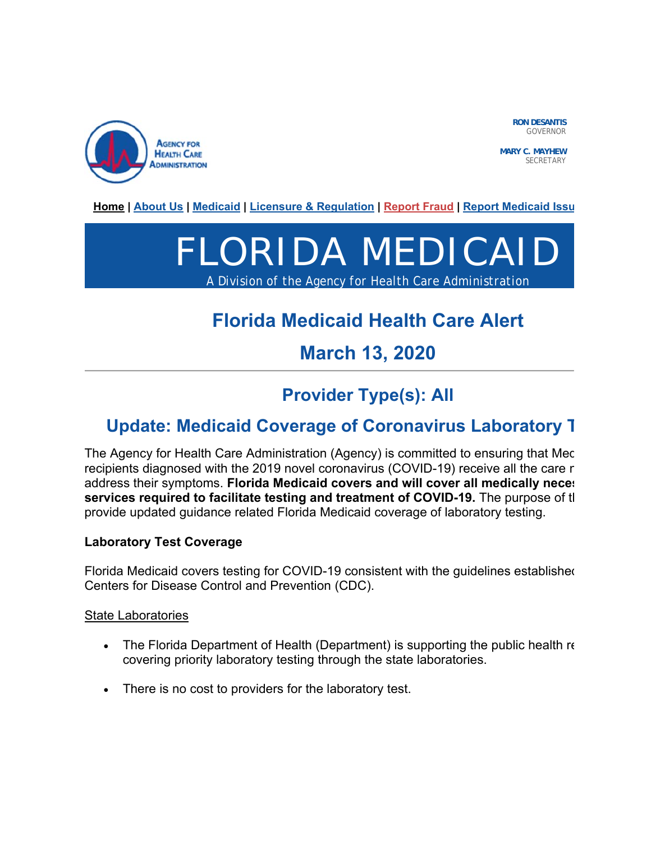

GOVERNOR

**MARY C. MAYHEW** SECRETARY

**Home | About Us | Medicaid | Licensure & Regulation | Report Fraud | Report Medicaid Issu**

# FLORIDA MEDICAID

*A Division of the Agency for Health Care Administration*

# **Florida Medicaid Health Care Alert**

## **March 13, 2020**

## **Provider Type(s): All**

## **Update: Medicaid Coverage of Coronavirus Laboratory T**

The Agency for Health Care Administration (Agency) is committed to ensuring that Mec recipients diagnosed with the 2019 novel coronavirus (COVID-19) receive all the care n address their symptoms. **Florida Medicaid covers and will cover all medically neces services required to facilitate testing and treatment of COVID-19.** The purpose of th provide updated guidance related Florida Medicaid coverage of laboratory testing.

#### **Laboratory Test Coverage**

Florida Medicaid covers testing for COVID-19 consistent with the guidelines established Centers for Disease Control and Prevention (CDC).

State Laboratories

- The Florida Department of Health (Department) is supporting the public health re covering priority laboratory testing through the state laboratories.
- There is no cost to providers for the laboratory test.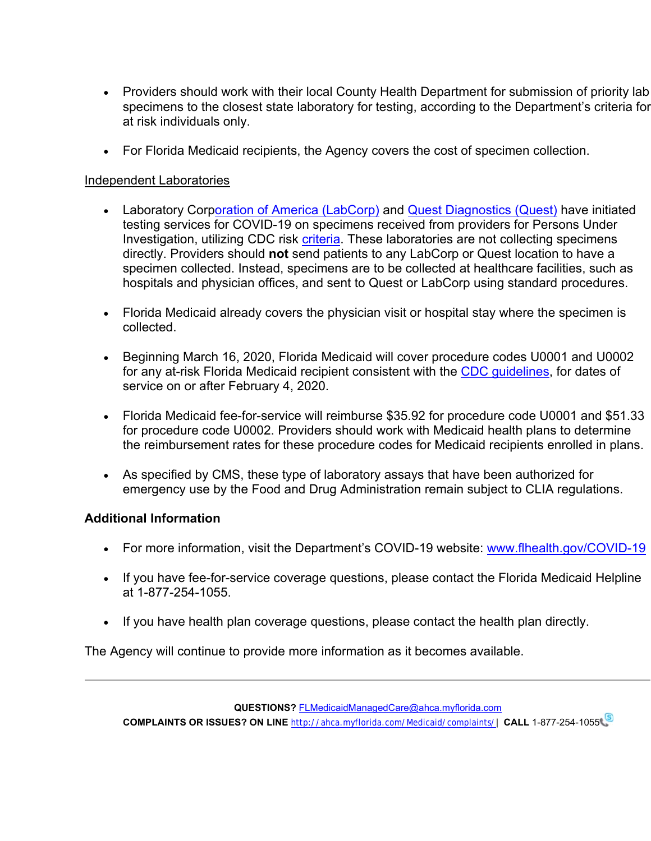- Providers should work with their local County Health Department for submission of priority lab specimens to the closest state laboratory for testing, according to the Department's criteria for at risk individuals only.
- For Florida Medicaid recipients, the Agency covers the cost of specimen collection.

### Independent Laboratories

- Laboratory Corporation of America (LabCorp) and Quest Diagnostics (Quest) have initiated testing services for COVID-19 on specimens received from providers for Persons Under Investigation, utilizing CDC risk criteria. These laboratories are not collecting specimens directly. Providers should **not** send patients to any LabCorp or Quest location to have a specimen collected. Instead, specimens are to be collected at healthcare facilities, such as hospitals and physician offices, and sent to Quest or LabCorp using standard procedures.
- Florida Medicaid already covers the physician visit or hospital stay where the specimen is collected.
- Beginning March 16, 2020, Florida Medicaid will cover procedure codes U0001 and U0002 for any at-risk Florida Medicaid recipient consistent with the CDC guidelines, for dates of service on or after February 4, 2020.
- Florida Medicaid fee-for-service will reimburse \$35.92 for procedure code U0001 and \$51.33 for procedure code U0002. Providers should work with Medicaid health plans to determine the reimbursement rates for these procedure codes for Medicaid recipients enrolled in plans.
- As specified by CMS, these type of laboratory assays that have been authorized for emergency use by the Food and Drug Administration remain subject to CLIA regulations.

#### **Additional Information**

- For more information, visit the Department's COVID-19 website: www.flhealth.gov/COVID-19
- If you have fee-for-service coverage questions, please contact the Florida Medicaid Helpline at 1-877-254-1055.
- If you have health plan coverage questions, please contact the health plan directly.

The Agency will continue to provide more information as it becomes available.

**QUESTIONS?** FLMedicaidManagedCare@ahca.myflorida.com

**COMPLAINTS OR ISSUES? ON LINE** http://ahca.myflorida.com/Medicaid/complaints/| **CALL** 1-877-254-1055